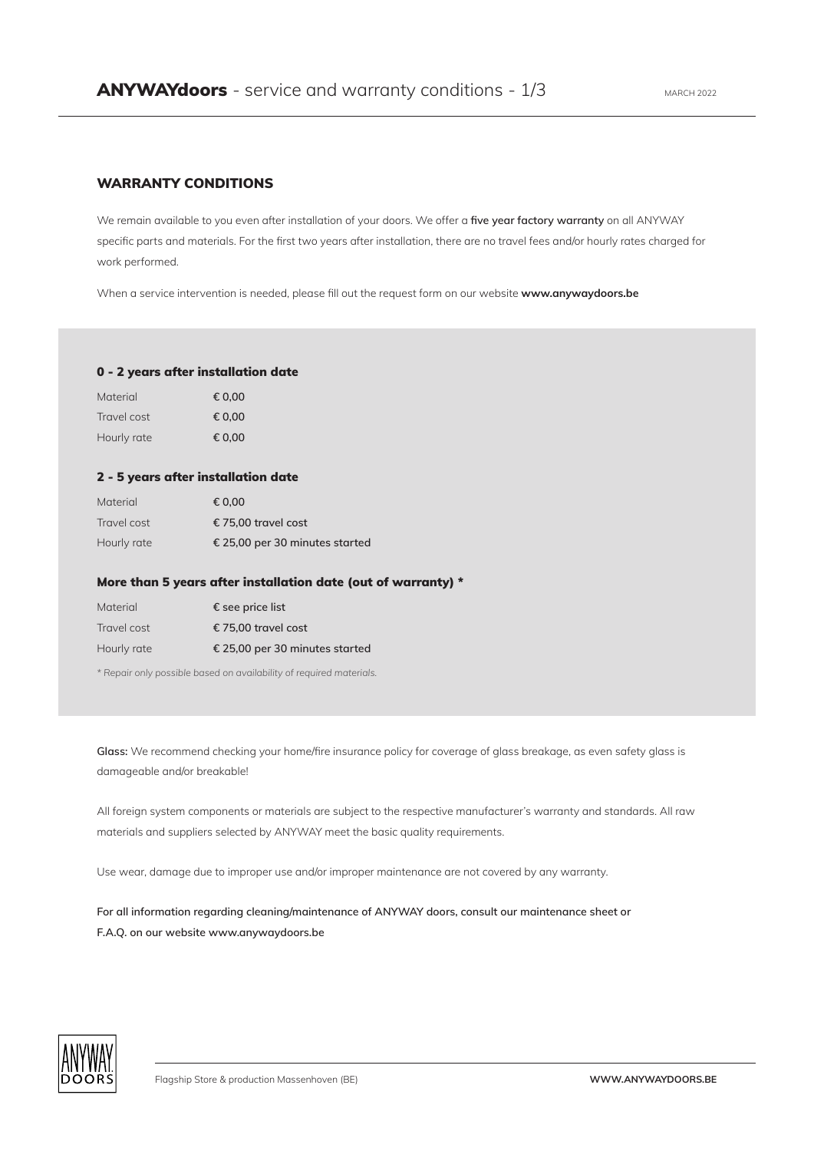## WARRANTY CONDITIONS

We remain available to you even after installation of your doors. We offer a **five year factory warranty** on all ANYWAY specific parts and materials. For the first two years after installation, there are no travel fees and/or hourly rates charged for work performed.

When a service intervention is needed, please fill out the request form on our website **www.anywaydoors.be**

## 0 - 2 years after installation date

| Material    | € 0.00 |
|-------------|--------|
| Travel cost | € 0.00 |
| Hourly rate | € 0.00 |

## 2 - 5 years after installation date

| Material    | € 0.00                         |
|-------------|--------------------------------|
| Travel cost | € 75.00 travel cost            |
| Hourly rate | € 25,00 per 30 minutes started |

## More than 5 years after installation date (out of warranty) \*

| Material    | $\epsilon$ see price list      |
|-------------|--------------------------------|
| Travel cost | € 75,00 travel cost            |
| Hourly rate | € 25,00 per 30 minutes started |

*\* Repair only possible based on availability of required materials.*

**Glass:** We recommend checking your home/fire insurance policy for coverage of glass breakage, as even safety glass is damageable and/or breakable!

All foreign system components or materials are subject to the respective manufacturer's warranty and standards. All raw materials and suppliers selected by ANYWAY meet the basic quality requirements.

Use wear, damage due to improper use and/or improper maintenance are not covered by any warranty.

**For all information regarding cleaning/maintenance of ANYWAY doors, consult our maintenance sheet or F.A.Q. on our website www.anywaydoors.be** 

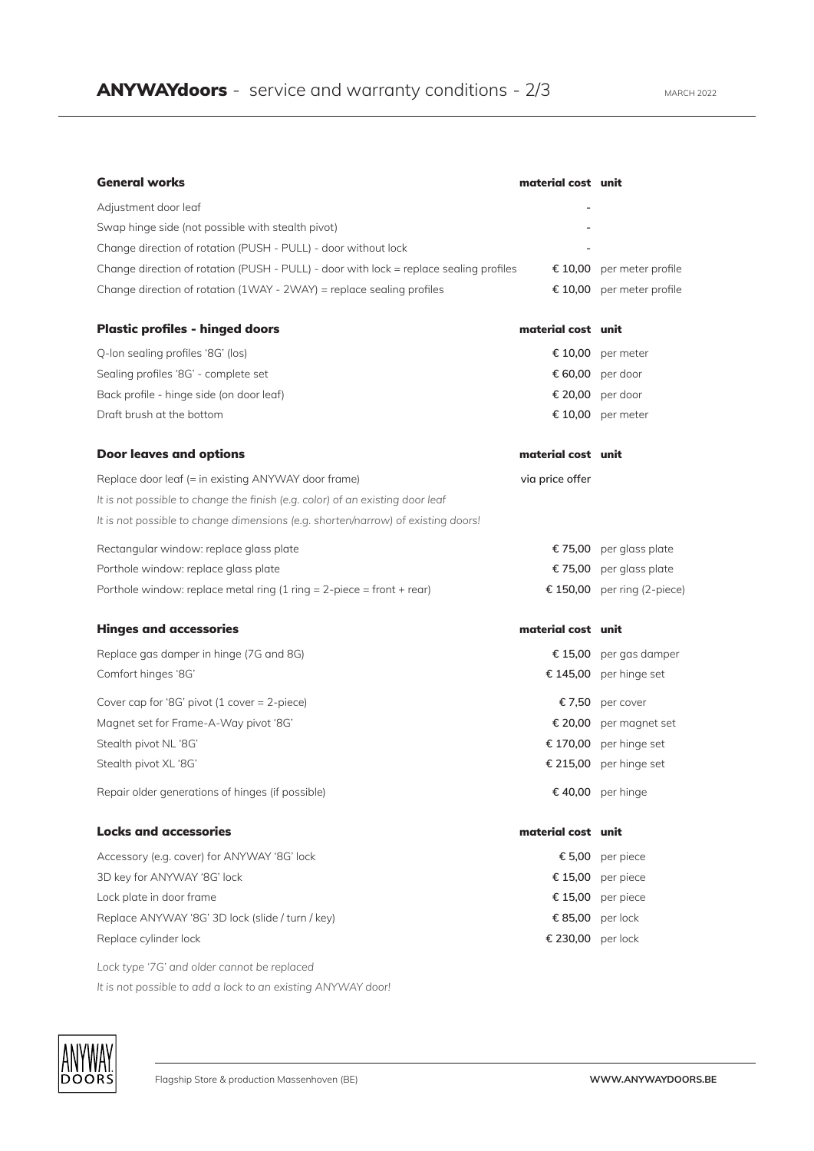| <b>General works</b>                                                                   | material cost unit |                             |
|----------------------------------------------------------------------------------------|--------------------|-----------------------------|
| Adjustment door leaf                                                                   |                    |                             |
| Swap hinge side (not possible with stealth pivot)                                      |                    |                             |
| Change direction of rotation (PUSH - PULL) - door without lock                         |                    |                             |
| Change direction of rotation (PUSH - PULL) - door with lock = replace sealing profiles |                    | € 10,00 per meter profile   |
| Change direction of rotation (1WAY - 2WAY) = replace sealing profiles                  |                    | € 10,00 per meter profile   |
| <b>Plastic profiles - hinged doors</b>                                                 | material cost unit |                             |
| Q-lon sealing profiles '8G' (los)                                                      |                    | € 10,00 per meter           |
| Sealing profiles '8G' - complete set                                                   |                    | € 60,00 per door            |
| Back profile - hinge side (on door leaf)                                               |                    | € 20,00 per door            |
| Draft brush at the bottom                                                              |                    | € 10,00 per meter           |
| <b>Door leaves and options</b>                                                         | material cost unit |                             |
| Replace door leaf (= in existing ANYWAY door frame)                                    | via price offer    |                             |
| It is not possible to change the finish (e.g. color) of an existing door leaf          |                    |                             |
| It is not possible to change dimensions (e.g. shorten/narrow) of existing doors!       |                    |                             |
| Rectangular window: replace glass plate                                                |                    | € 75,00 per glass plate     |
| Porthole window: replace glass plate                                                   |                    | € 75,00 per glass plate     |
| Porthole window: replace metal ring $(1$ ring = 2-piece = front + rear)                |                    | € 150,00 per ring (2-piece) |
| <b>Hinges and accessories</b>                                                          | material cost unit |                             |
| Replace gas damper in hinge (7G and 8G)                                                | € 15,00            | per gas damper              |
| Comfort hinges '8G'                                                                    |                    | € 145,00 per hinge set      |
| Cover cap for '8G' pivot (1 cover $= 2$ -piece)                                        |                    | €7,50 per cover             |
| Magnet set for Frame-A-Way pivot '8G'                                                  |                    | € 20,00 per magnet set      |
| Stealth pivot NL '8G'                                                                  |                    | € 170,00 per hinge set      |
| Stealth pivot XL '8G'                                                                  |                    | € 215,00 per hinge set      |
| Repair older generations of hinges (if possible)                                       |                    | € 40,00 per hinge           |
| <b>Locks and accessories</b>                                                           | material cost unit |                             |
| Accessory (e.g. cover) for ANYWAY '8G' lock                                            |                    | € 5,00 per piece            |
| 3D key for ANYWAY '8G' lock                                                            |                    | € 15,00 per piece           |
| Lock plate in door frame                                                               |                    | € 15,00 per piece           |
| Replace ANYWAY '8G' 3D lock (slide / turn / key)                                       |                    | € 85,00 per lock            |
| Replace cylinder lock                                                                  | € 230,00 per lock  |                             |
| Lock type '7G' and older cannot be replaced                                            |                    |                             |

*It is not possible to add a lock to an existing ANYWAY door!*